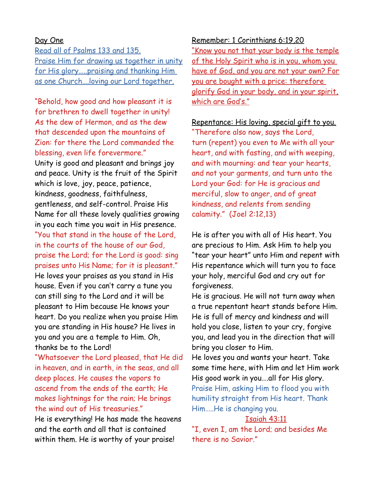## Day One

Read all of Psalms 133 and 135. Praise Him for drawing us together in unity for His glory…..praising and thanking Him as one Church….loving our Lord together.

"Behold, how good and how pleasant it is for brethren to dwell together in unity! As the dew of Hermon, and as the dew that descended upon the mountains of Zion: for there the Lord commanded the blessing, even life forevermore." Unity is good and pleasant and brings joy and peace. Unity is the fruit of the Spirit which is love, joy, peace, patience, kindness, goodness, faithfulness, gentleness, and self-control. Praise His Name for all these lovely qualities growing in you each time you wait in His presence. "You that stand in the house of the Lord, in the courts of the house of our God, praise the Lord; for the Lord is good: sing praises unto His Name; for it is pleasant." He loves your praises as you stand in His house. Even if you can't carry a tune you can still sing to the Lord and it will be pleasant to Him because He knows your heart. Do you realize when you praise Him you are standing in His house? He lives in you and you are a temple to Him. Oh, thanks be to the Lord!

"Whatsoever the Lord pleased, that He did in heaven, and in earth, in the seas, and all deep places. He causes the vapors to ascend from the ends of the earth; He makes lightnings for the rain; He brings the wind out of His treasuries."

He is everything! He has made the heavens and the earth and all that is contained within them. He is worthy of your praise!

Remember: 1 Corinthians 6:19,20 "Know you not that your body is the temple of the Holy Spirit who is in you, whom you have of God, and you are not your own? For you are bought with a price: therefore glorify God in your body, and in your spirit, which are God's."

Repentance: His loving, special gift to you. "Therefore also now, says the Lord, turn (repent) you even to Me with all your heart, and with fasting, and with weeping, and with mourning: and tear your hearts, and not your garments, and turn unto the Lord your God: for He is gracious and merciful, slow to anger, and of great kindness, and relents from sending calamity." (Joel 2:12,13)

He is after you with all of His heart. You are precious to Him. Ask Him to help you "tear your heart" unto Him and repent with His repentance which will turn you to face your holy, merciful God and cry out for forgiveness.

He is gracious. He will not turn away when a true repentant heart stands before Him. He is full of mercy and kindness and will hold you close, listen to your cry, forgive you, and lead you in the direction that will bring you closer to Him.

He loves you and wants your heart. Take some time here, with Him and let Him work His good work in you….all for His glory. Praise Him, asking Him to flood you with humility straight from His heart. Thank Him…..He is changing you.

#### Isaiah 43:11

"I, even I, am the Lord; and besides Me there is no Savior."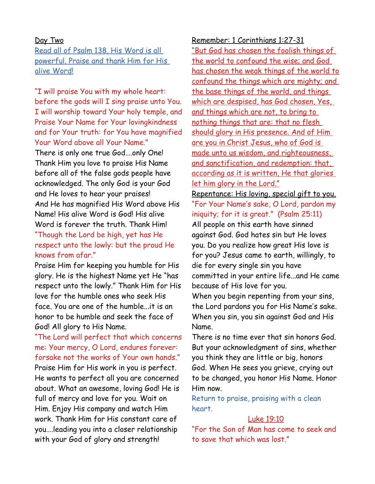#### Day Two

Read all of Psalm 138. His Word is all powerful. Praise and thank Him for His alive Word!

"I will praise You with my whole heart: before the gods will I sing praise unto You. I will worship toward Your holy temple, and Praise Your Name for Your lovingkindness and for Your truth: for You have magnified Your Word above all Your Name."

There is only one true God….only One! Thank Him you love to praise His Name before all of the false gods people have acknowledged. The only God is your God and He loves to hear your praises! And He has magnified His Word above His Name! His alive Word is God! His alive Word is forever the truth. Thank Him! "Though the Lord be high, yet has He respect unto the lowly: but the proud He knows from afar."

Praise Him for keeping you humble for His glory. He is the highest Name yet He "has respect unto the lowly." Thank Him for His love for the humble ones who seek His face. You are one of the humble...it is an honor to be humble and seek the face of God! All glory to His Name.

"The Lord will perfect that which concerns me: Your mercy, O Lord, endures forever: forsake not the works of Your own hands." Praise Him for His work in you is perfect. He wants to perfect all you are concerned about. What an awesome, loving God! He is full of mercy and love for you. Wait on Him. Enjoy His company and watch Him work. Thank Him for His constant care of you….leading you into a closer relationship with your God of glory and strength!

Remember: 1 Corinthians 1:27-31 "But God has chosen the foolish things of the world to confound the wise; and God has chosen the weak things of the world to confound the things which are mighty; and the base things of the world, and things which are despised, has God chosen, Yes, and things which are not, to bring to nothing things that are: that no flesh should glory in His presence. And of Him are you in Christ Jesus, who of God is made unto us wisdom, and righteousness, and sanctification, and redemption: that, according as it is written, He that glories let him glory in the Lord." Repentance: His loving, special gift to you. "For Your Name's sake, O Lord, pardon my iniquity; for it is great." (Psalm 25:11)

All people on this earth have sinned against God. God hates sin but He loves you. Do you realize how great His love is for you? Jesus came to earth, willingly, to die for every single sin you have committed in your entire life...and He came because of His love for you.

When you begin repenting from your sins, the Lord pardons you for His Name's sake. When you sin, you sin against God and His Name.

There is no time ever that sin honors God. But your acknowledgment of sins, whether you think they are little or big, honors God. When He sees you grieve, crying out to be changed, you honor His Name. Honor Him now.

Return to praise, praising with a clean heart.

#### Luke 19:10

"For the Son of Man has come to seek and to save that which was lost."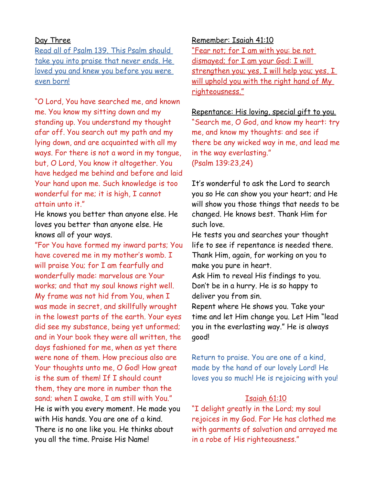# Day Three

Read all of Psalm 139. This Psalm should take you into praise that never ends. He loved you and knew you before you were even born!

"O Lord, You have searched me, and known me. You know my sitting down and my standing up. You understand my thought afar off. You search out my path and my lying down, and are acquainted with all my ways. For there is not a word in my tongue, but, O Lord, You know it altogether. You have hedged me behind and before and laid Your hand upon me. Such knowledge is too wonderful for me; it is high, I cannot attain unto it."

He knows you better than anyone else. He loves you better than anyone else. He knows all of your ways.

"For You have formed my inward parts; You have covered me in my mother's womb. I will praise You; for I am fearfully and wonderfully made: marvelous are Your works; and that my soul knows right well. My frame was not hid from You, when I was made in secret, and skillfully wrought in the lowest parts of the earth. Your eyes did see my substance, being yet unformed; and in Your book they were all written, the days fashioned for me, when as yet there were none of them. How precious also are Your thoughts unto me, O God! How great is the sum of them! If I should count them, they are more in number than the sand; when I awake, I am still with You." He is with you every moment. He made you with His hands. You are one of a kind. There is no one like you. He thinks about you all the time. Praise His Name!

Remember: Isaiah 41:10

"Fear not; for I am with you: be not dismayed; for I am your God: I will strengthen you; yes, I will help you; yes, I will uphold you with the right hand of My righteousness."

Repentance: His loving, special gift to you. "Search me, O God, and know my heart: try me, and know my thoughts: and see if there be any wicked way in me, and lead me in the way everlasting." (Psalm 139:23,24)

It's wonderful to ask the Lord to search you so He can show you your heart; and He will show you those things that needs to be changed. He knows best. Thank Him for such love.

He tests you and searches your thought life to see if repentance is needed there. Thank Him, again, for working on you to make you pure in heart.

Ask Him to reveal His findings to you. Don't be in a hurry. He is so happy to deliver you from sin.

Repent where He shows you. Take your time and let Him change you. Let Him "lead you in the everlasting way." He is always good!

Return to praise. You are one of a kind, made by the hand of our lovely Lord! He loves you so much! He is rejoicing with you!

# Isaiah 61:10

"I delight greatly in the Lord; my soul rejoices in my God. For He has clothed me with garments of salvation and arrayed me in a robe of His righteousness."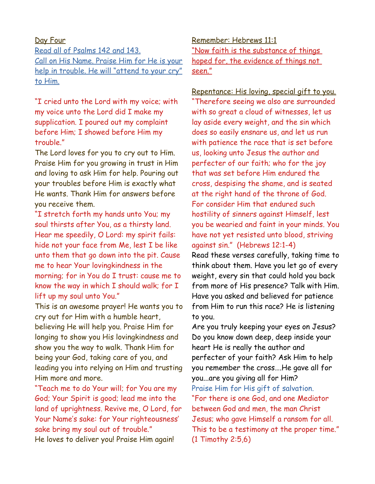# Day Four

Read all of Psalms 142 and 143. Call on His Name. Praise Him for He is your help in trouble. He will "attend to your cry" to Him.

"I cried unto the Lord with my voice; with my voice unto the Lord did I make my supplication. I poured out my complaint before Him; I showed before Him my trouble."

The Lord loves for you to cry out to Him. Praise Him for you growing in trust in Him and loving to ask Him for help. Pouring out your troubles before Him is exactly what He wants. Thank Him for answers before you receive them.

"I stretch forth my hands unto You; my soul thirsts after You, as a thirsty land. Hear me speedily, O Lord: my spirit fails: hide not your face from Me, lest I be like unto them that go down into the pit. Cause me to hear Your lovingkindness in the morning; for in You do I trust: cause me to know the way in which I should walk; for I lift up my soul unto You."

This is an awesome prayer! He wants you to cry out for Him with a humble heart, believing He will help you. Praise Him for longing to show you His lovingkindness and show you the way to walk. Thank Him for being your God, taking care of you, and leading you into relying on Him and trusting Him more and more.

"Teach me to do Your will; for You are my God; Your Spirit is good; lead me into the land of uprightness. Revive me, O Lord, for Your Name's sake: for Your righteousness' sake bring my soul out of trouble." He loves to deliver you! Praise Him again!

Remember: Hebrews 11:1 "Now faith is the substance of things hoped for, the evidence of things not seen."

Repentance: His loving, special gift to you.

"Therefore seeing we also are surrounded with so great a cloud of witnesses, let us lay aside every weight, and the sin which does so easily ensnare us, and let us run with patience the race that is set before us, looking unto Jesus the author and perfecter of our faith; who for the joy that was set before Him endured the cross, despising the shame, and is seated at the right hand of the throne of God. For consider Him that endured such hostility of sinners against Himself, lest you be wearied and faint in your minds. You have not yet resisted unto blood, striving against sin." (Hebrews 12:1-4)

Read these verses carefully, taking time to think about them. Have you let go of every weight, every sin that could hold you back from more of His presence? Talk with Him. Have you asked and believed for patience from Him to run this race? He is listening to you.

Are you truly keeping your eyes on Jesus? Do you know down deep, deep inside your heart He is really the author and perfecter of your faith? Ask Him to help you remember the cross….He gave all for you...are you giving all for Him? Praise Him for His gift of salvation. "For there is one God, and one Mediator between God and men, the man Christ Jesus; who gave Himself a ransom for all. This to be a testimony at the proper time." (1 Timothy 2:5,6)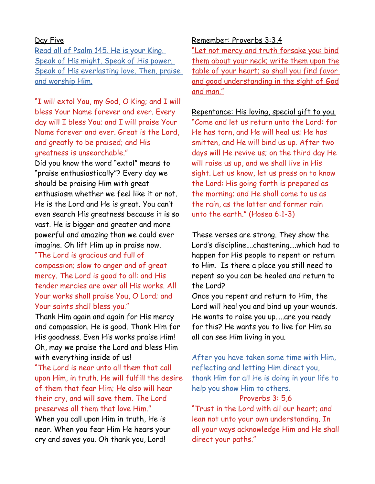# Day Five

Read all of Psalm 145. He is your King. Speak of His might. Speak of His power. Speak of His everlasting love. Then, praise and worship Him.

"I will extol You, my God, O King; and I will bless Your Name forever and ever. Every day will I bless You; and I will praise Your Name forever and ever. Great is the Lord, and greatly to be praised; and His greatness is unsearchable." Did you know the word "extol" means to "praise enthusiastically"? Every day we should be praising Him with great enthusiasm whether we feel like it or not. He is the Lord and He is great. You can't even search His greatness because it is so vast. He is bigger and greater and more powerful and amazing than we could ever imagine. Oh lift Him up in praise now.

"The Lord is gracious and full of compassion; slow to anger and of great mercy. The Lord is good to all: and His tender mercies are over all His works. All Your works shall praise You, O Lord; and Your saints shall bless you."

Thank Him again and again for His mercy and compassion. He is good. Thank Him for His goodness. Even His works praise Him! Oh, may we praise the Lord and bless Him with everything inside of us!

"The Lord is near unto all them that call upon Him, in truth. He will fulfill the desire of them that fear Him; He also will hear their cry, and will save them. The Lord preserves all them that love Him."

When you call upon Him in truth, He is near. When you fear Him He hears your cry and saves you. Oh thank you, Lord!

### Remember: Proverbs 3:3,4

"Let not mercy and truth forsake you: bind them about your neck; write them upon the table of your heart; so shall you find favor and good understanding in the sight of God and man."

## Repentance: His loving, special gift to you.

"Come and let us return unto the Lord: for He has torn, and He will heal us; He has smitten, and He will bind us up. After two days will He revive us; on the third day He will raise us up, and we shall live in His sight. Let us know, let us press on to know the Lord: His going forth is prepared as the morning; and He shall come to us as the rain, as the latter and former rain unto the earth." (Hosea 6:1-3)

These verses are strong. They show the Lord's discipline….chastening….which had to happen for His people to repent or return to Him. Is there a place you still need to repent so you can be healed and return to the Lord?

Once you repent and return to Him, the Lord will heal you and bind up your wounds. He wants to raise you up…..are you ready for this? He wants you to live for Him so all can see Him living in you.

After you have taken some time with Him, reflecting and letting Him direct you, thank Him for all He is doing in your life to help you show Him to others.

#### Proverbs 3: 5,6

"Trust in the Lord with all our heart; and lean not unto your own understanding. In all your ways acknowledge Him and He shall direct your paths."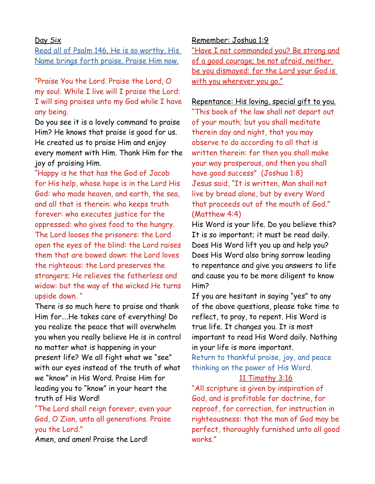## Day Six

Read all of Psalm 146. He is so worthy. His Name brings forth praise. Praise Him now.

"Praise You the Lord. Praise the Lord, O my soul. While I live will I praise the Lord: I will sing praises unto my God while I have any being.

Do you see it is a lovely command to praise Him? He knows that praise is good for us. He created us to praise Him and enjoy every moment with Him. Thank Him for the joy of praising Him.

"Happy is he that has the God of Jacob for His help, whose hope is in the Lord His God: who made heaven, and earth, the sea, and all that is therein: who keeps truth forever: who executes justice for the oppressed: who gives food to the hungry. The Lord looses the prisoners: the Lord open the eyes of the blind: the Lord raises them that are bowed down: the Lord loves the righteous: the Lord preserves the strangers; He relieves the fatherless and widow: but the way of the wicked He turns upside down. "

There is so much here to praise and thank Him for….He takes care of everything! Do you realize the peace that will overwhelm you when you really believe He is in control no matter what is happening in your present life? We all fight what we "see" with our eyes instead of the truth of what we "know" in His Word. Praise Him for leading you to "know" in your heart the truth of His Word!

"The Lord shall reign forever, even your God, O Zion, unto all generations. Praise you the Lord."

Amen, and amen! Praise the Lord!

Remember: Joshua 1:9

"Have I not commanded you? Be strong and of a good courage; be not afraid, neither be you dismayed: for the Lord your God is with you wherever you go."

## Repentance: His loving, special gift to you.

"This book of the law shall not depart out of your mouth; but you shall meditate therein day and night, that you may observe to do according to all that is written therein: for then you shall make your way prosperous, and then you shall have good success" (Joshua 1:8) Jesus said, "It is written, Man shall not live by bread alone, but by every Word that proceeds out of the mouth of God." (Matthew 4:4)

His Word is your life. Do you believe this? It is so important; it must be read daily. Does His Word lift you up and help you? Does His Word also bring sorrow leading to repentance and give you answers to life and cause you to be more diligent to know Him?

If you are hesitant in saying "yes" to any of the above questions, please take time to reflect, to pray, to repent. His Word is true life. It changes you. It is most important to read His Word daily. Nothing in your life is more important.

Return to thankful praise, joy, and peace thinking on the power of His Word.

## 11 Timothy 3:16

"All scripture is given by inspiration of God, and is profitable for doctrine, for reproof, for correction, for instruction in righteousness: that the man of God may be perfect, thoroughly furnished unto all good works."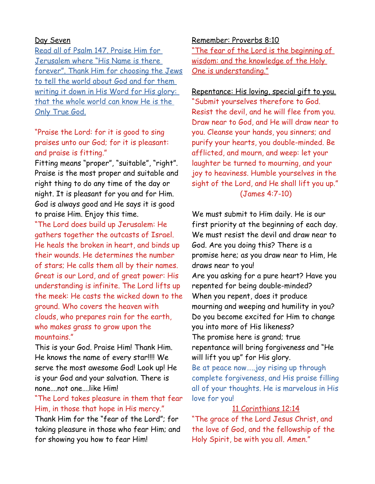# Day Seven

Read all of Psalm 147. Praise Him for Jerusalem where "His Name is there forever". Thank Him for choosing the Jews to tell the world about God and for them writing it down in His Word for His glory: that the whole world can know He is the Only True God.

# "Praise the Lord: for it is good to sing praises unto our God; for it is pleasant: and praise is fitting."

Fitting means "proper", "suitable", "right". Praise is the most proper and suitable and right thing to do any time of the day or night. It is pleasant for you and for Him. God is always good and He says it is good to praise Him. Enjoy this time.

"The Lord does build up Jerusalem: He gathers together the outcasts of Israel. He heals the broken in heart, and binds up their wounds. He determines the number of stars; He calls them all by their names. Great is our Lord, and of great power: His understanding is infinite. The Lord lifts up the meek: He casts the wicked down to the ground. Who covers the heaven with clouds, who prepares rain for the earth, who makes grass to grow upon the mountains."

This is your God. Praise Him! Thank Him. He knows the name of every star!!!! We serve the most awesome God! Look up! He is your God and your salvation. There is none….not one….like Him!

# "The Lord takes pleasure in them that fear Him, in those that hope in His mercy."

Thank Him for the "fear of the Lord"; for taking pleasure in those who fear Him; and for showing you how to fear Him!

#### Remember: Proverbs 8:10

"The fear of the Lord is the beginning of wisdom: and the knowledge of the Holy One is understanding."

Repentance: His loving, special gift to you. "Submit yourselves therefore to God. Resist the devil, and he will flee from you. Draw near to God, and He will draw near to you. Cleanse your hands, you sinners; and purify your hearts, you double-minded. Be afflicted, and mourn, and weep: let your laughter be turned to mourning, and your joy to heaviness. Humble yourselves in the sight of the Lord, and He shall lift you up." (James 4:7-10)

We must submit to Him daily. He is our first priority at the beginning of each day. We must resist the devil and draw near to God. Are you doing this? There is a promise here; as you draw near to Him, He draws near to you! Are you asking for a pure heart? Have you repented for being double-minded? When you repent, does it produce mourning and weeping and humility in you?

Do you become excited for Him to change you into more of His likeness?

The promise here is grand; true repentance will bring forgiveness and "He will lift you up" for His glory.

Be at peace now…..joy rising up through complete forgiveness, and His praise filling all of your thoughts. He is marvelous in His love for you!

# 11 Corinthians 12:14

"The grace of the Lord Jesus Christ, and the love of God, and the fellowship of the Holy Spirit, be with you all. Amen."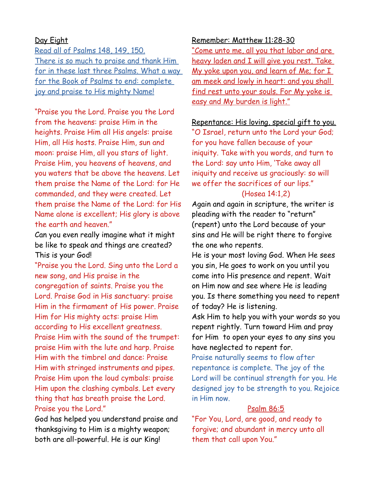# Day Eight

Read all of Psalms 148, 149, 150. There is so much to praise and thank Him for in these last three Psalms. What a way for the Book of Psalms to end: complete joy and praise to His mighty Name!

"Praise you the Lord. Praise you the Lord from the heavens: praise Him in the heights. Praise Him all His angels: praise Him, all His hosts. Praise Him, sun and moon: praise Him, all you stars of light. Praise Him, you heavens of heavens, and you waters that be above the heavens. Let them praise the Name of the Lord: for He commanded, and they were created. Let them praise the Name of the Lord: for His Name alone is excellent; His glory is above the earth and heaven."

Can you even really imagine what it might be like to speak and things are created? This is your God!

"Praise you the Lord. Sing unto the Lord a new song, and His praise in the congregation of saints. Praise you the Lord. Praise God in His sanctuary: praise Him in the firmament of His power. Praise Him for His mighty acts: praise Him according to His excellent greatness. Praise Him with the sound of the trumpet: praise Him with the lute and harp. Praise Him with the timbrel and dance: Praise Him with stringed instruments and pipes. Praise Him upon the loud cymbals: praise Him upon the clashing cymbals. Let every thing that has breath praise the Lord. Praise you the Lord."

God has helped you understand praise and thanksgiving to Him is a mighty weapon; both are all-powerful. He is our King!

### Remember: Matthew 11:28-30

"Come unto me, all you that labor and are heavy laden and I will give you rest. Take My yoke upon you, and learn of Me; for I am meek and lowly in heart: and you shall find rest unto your souls. For My yoke is easy and My burden is light."

## Repentance: His loving, special gift to you.

"O Israel, return unto the Lord your God; for you have fallen because of your iniquity. Take with you words, and turn to the Lord: say unto Him, 'Take away all iniquity and receive us graciously: so will we offer the sacrifices of our lips."

# (Hosea 14:1,2)

Again and again in scripture, the writer is pleading with the reader to "return" (repent) unto the Lord because of your sins and He will be right there to forgive the one who repents.

He is your most loving God. When He sees you sin, He goes to work on you until you come into His presence and repent. Wait on Him now and see where He is leading you. Is there something you need to repent of today? He is listening.

Ask Him to help you with your words so you repent rightly. Turn toward Him and pray for Him to open your eyes to any sins you have neglected to repent for.

Praise naturally seems to flow after repentance is complete. The joy of the Lord will be continual strength for you. He designed joy to be strength to you. Rejoice in Him now.

# Psalm 86:5

"For You, Lord, are good, and ready to forgive; and abundant in mercy unto all them that call upon You."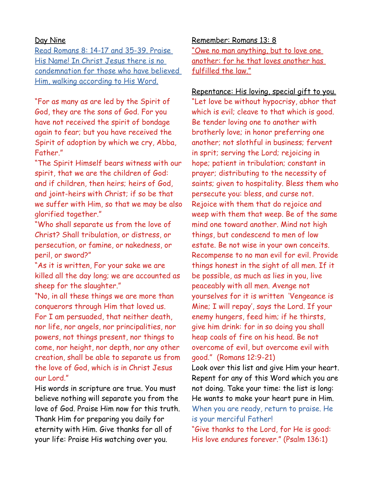# Day Nine

 Read Romans 8: 14-17 and 35-39 . Praise His Name! In Christ Jesus there is no condemnation for those who have believed Him, walking according to His Word.

"For as many as are led by the Spirit of God, they are the sons of God. For you have not received the spirit of bondage again to fear; but you have received the Spirit of adoption by which we cry, Abba, Father."

"The Spirit Himself bears witness with our spirit, that we are the children of God: and if children, then heirs; heirs of God, and joint-heirs with Christ; if so be that we suffer with Him, so that we may be also glorified together."

"Who shall separate us from the love of Christ? Shall tribulation, or distress, or persecution, or famine, or nakedness, or peril, or sword?"

"As it is written, For your sake we are killed all the day long; we are accounted as sheep for the slaughter."

"No, in all these things we are more than conquerors through Him that loved us. For I am persuaded, that neither death, nor life, nor angels, nor principalities, nor powers, not things present, nor things to come, nor height, nor depth, nor any other creation, shall be able to separate us from the love of God, which is in Christ Jesus our Lord."

His words in scripture are true. You must believe nothing will separate you from the love of God. Praise Him now for this truth. Thank Him for preparing you daily for eternity with Him. Give thanks for all of your life: Praise His watching over you.

Remember: Romans 13: 8 "Owe no man anything, but to love one another: for he that loves another has fulfilled the law."

Repentance: His loving, special gift to you. "Let love be without hypocrisy, abhor that which is evil; cleave to that which is good. Be tender loving one to another with brotherly love; in honor preferring one another; not slothful in business; fervent in sprit; serving the Lord; rejoicing in hope; patient in tribulation; constant in prayer; distributing to the necessity of saints; given to hospitality. Bless them who persecute you: bless, and curse not. Rejoice with them that do rejoice and weep with them that weep. Be of the same mind one toward another. Mind not high things, but condescend to men of low estate. Be not wise in your own conceits. Recompense to no man evil for evil. Provide things honest in the sight of all men. If it be possible, as much as lies in you, live peaceably with all men. Avenge not yourselves for it is written 'Vengeance is Mine; I will repay', says the Lord. If your enemy hungers, feed him; if he thirsts, give him drink: for in so doing you shall heap coals of fire on his head. Be not overcome of evil, but overcome evil with good." (Romans 12:9-21)

Look over this list and give Him your heart. Repent for any of this Word which you are not doing. Take your time: the list is long: He wants to make your heart pure in Him. When you are ready, return to praise. He is your merciful Father!

"Give thanks to the Lord, for He is good: His love endures forever." (Psalm 136:1)